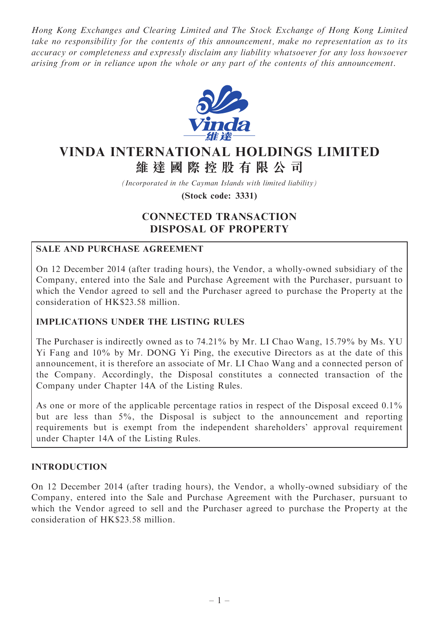Hong Kong Exchanges and Clearing Limited and The Stock Exchange of Hong Kong Limited take no responsibility for the contents of this announcement, make no representation as to its accuracy or completeness and expressly disclaim any liability whatsoever for any loss howsoever arising from or in reliance upon the whole or any part of the contents of this announcement.



# VINDA INTERNATIONAL HOLDINGS LIMITED 維 達 國 際 控 股 有 限 公 司

(Incorporated in the Cayman Islands with limited liability)

(Stock code: 3331)

## CONNECTED TRANSACTION DISPOSAL OF PROPERTY

## SALE AND PURCHASE AGREEMENT

On 12 December 2014 (after trading hours), the Vendor, a wholly-owned subsidiary of the Company, entered into the Sale and Purchase Agreement with the Purchaser, pursuant to which the Vendor agreed to sell and the Purchaser agreed to purchase the Property at the consideration of HK\$23.58 million.

#### IMPLICATIONS UNDER THE LISTING RULES

The Purchaser is indirectly owned as to 74.21% by Mr. LI Chao Wang, 15.79% by Ms. YU Yi Fang and 10% by Mr. DONG Yi Ping, the executive Directors as at the date of this announcement, it is therefore an associate of Mr. LI Chao Wang and a connected person of the Company. Accordingly, the Disposal constitutes a connected transaction of the Company under Chapter 14A of the Listing Rules.

As one or more of the applicable percentage ratios in respect of the Disposal exceed 0.1% but are less than 5%, the Disposal is subject to the announcement and reporting requirements but is exempt from the independent shareholders' approval requirement under Chapter 14A of the Listing Rules.

#### INTRODUCTION

On 12 December 2014 (after trading hours), the Vendor, a wholly-owned subsidiary of the Company, entered into the Sale and Purchase Agreement with the Purchaser, pursuant to which the Vendor agreed to sell and the Purchaser agreed to purchase the Property at the consideration of HK\$23.58 million.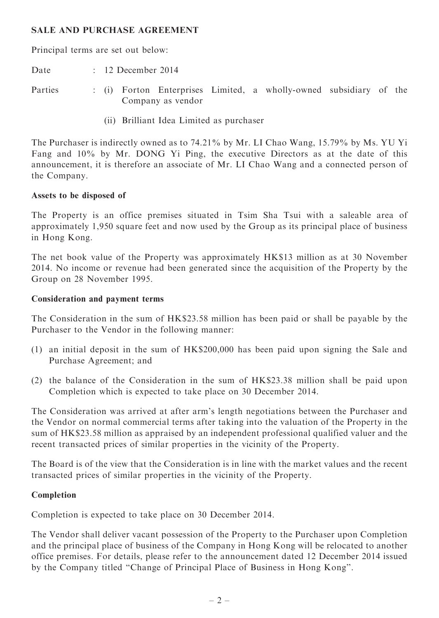#### SALE AND PURCHASE AGREEMENT

Principal terms are set out below:

Date : 12 December 2014

- Parties : (i) Forton Enterprises Limited, a wholly-owned subsidiary of the Company as vendor
	- (ii) Brilliant Idea Limited as purchaser

The Purchaser is indirectly owned as to 74.21% by Mr. LI Chao Wang, 15.79% by Ms. YU Yi Fang and 10% by Mr. DONG Yi Ping, the executive Directors as at the date of this announcement, it is therefore an associate of Mr. LI Chao Wang and a connected person of the Company.

#### Assets to be disposed of

The Property is an office premises situated in Tsim Sha Tsui with a saleable area of approximately 1,950 square feet and now used by the Group as its principal place of business in Hong Kong.

The net book value of the Property was approximately HK\$13 million as at 30 November 2014. No income or revenue had been generated since the acquisition of the Property by the Group on 28 November 1995.

#### Consideration and payment terms

The Consideration in the sum of HK\$23.58 million has been paid or shall be payable by the Purchaser to the Vendor in the following manner:

- (1) an initial deposit in the sum of HK\$200,000 has been paid upon signing the Sale and Purchase Agreement; and
- (2) the balance of the Consideration in the sum of HK\$23.38 million shall be paid upon Completion which is expected to take place on 30 December 2014.

The Consideration was arrived at after arm's length negotiations between the Purchaser and the Vendor on normal commercial terms after taking into the valuation of the Property in the sum of HK\$23.58 million as appraised by an independent professional qualified valuer and the recent transacted prices of similar properties in the vicinity of the Property.

The Board is of the view that the Consideration is in line with the market values and the recent transacted prices of similar properties in the vicinity of the Property.

#### Completion

Completion is expected to take place on 30 December 2014.

The Vendor shall deliver vacant possession of the Property to the Purchaser upon Completion and the principal place of business of the Company in Hong Kong will be relocated to another office premises. For details, please refer to the announcement dated 12 December 2014 issued by the Company titled ''Change of Principal Place of Business in Hong Kong''.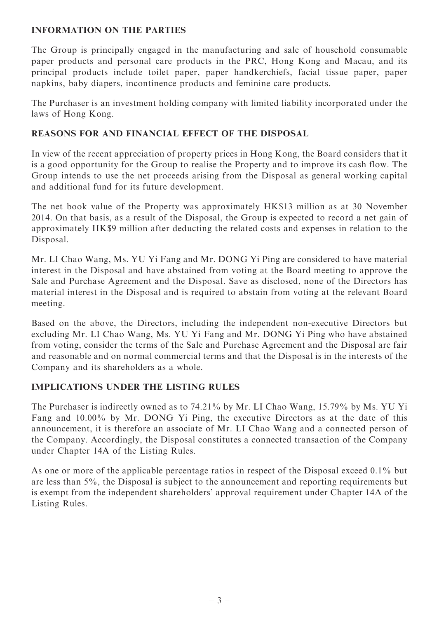## INFORMATION ON THE PARTIES

The Group is principally engaged in the manufacturing and sale of household consumable paper products and personal care products in the PRC, Hong Kong and Macau, and its principal products include toilet paper, paper handkerchiefs, facial tissue paper, paper napkins, baby diapers, incontinence products and feminine care products.

The Purchaser is an investment holding company with limited liability incorporated under the laws of Hong Kong.

## REASONS FOR AND FINANCIAL EFFECT OF THE DISPOSAL

In view of the recent appreciation of property prices in Hong Kong, the Board considers that it is a good opportunity for the Group to realise the Property and to improve its cash flow. The Group intends to use the net proceeds arising from the Disposal as general working capital and additional fund for its future development.

The net book value of the Property was approximately HK\$13 million as at 30 November 2014. On that basis, as a result of the Disposal, the Group is expected to record a net gain of approximately HK\$9 million after deducting the related costs and expenses in relation to the Disposal.

Mr. LI Chao Wang, Ms. YU Yi Fang and Mr. DONG Yi Ping are considered to have material interest in the Disposal and have abstained from voting at the Board meeting to approve the Sale and Purchase Agreement and the Disposal. Save as disclosed, none of the Directors has material interest in the Disposal and is required to abstain from voting at the relevant Board meeting.

Based on the above, the Directors, including the independent non-executive Directors but excluding Mr. LI Chao Wang, Ms. YU Yi Fang and Mr. DONG Yi Ping who have abstained from voting, consider the terms of the Sale and Purchase Agreement and the Disposal are fair and reasonable and on normal commercial terms and that the Disposal is in the interests of the Company and its shareholders as a whole.

## IMPLICATIONS UNDER THE LISTING RULES

The Purchaser is indirectly owned as to 74.21% by Mr. LI Chao Wang, 15.79% by Ms. YU Yi Fang and 10.00% by Mr. DONG Yi Ping, the executive Directors as at the date of this announcement, it is therefore an associate of Mr. LI Chao Wang and a connected person of the Company. Accordingly, the Disposal constitutes a connected transaction of the Company under Chapter 14A of the Listing Rules.

As one or more of the applicable percentage ratios in respect of the Disposal exceed 0.1% but are less than 5%, the Disposal is subject to the announcement and reporting requirements but is exempt from the independent shareholders' approval requirement under Chapter 14A of the Listing Rules.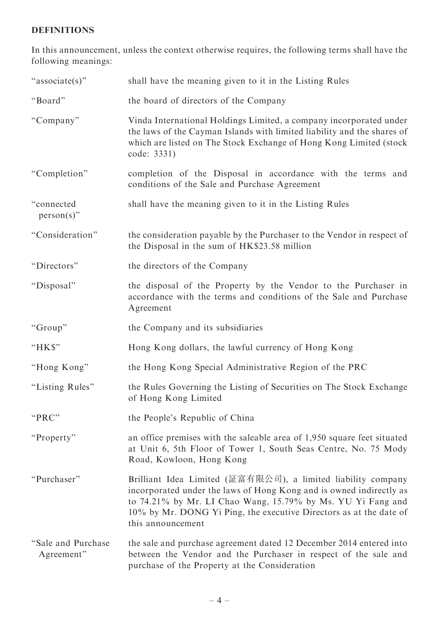## DEFINITIONS

In this announcement, unless the context otherwise requires, the following terms shall have the following meanings:

| "associate(s)"                    | shall have the meaning given to it in the Listing Rules                                                                                                                                                                                                                                       |
|-----------------------------------|-----------------------------------------------------------------------------------------------------------------------------------------------------------------------------------------------------------------------------------------------------------------------------------------------|
| "Board"                           | the board of directors of the Company                                                                                                                                                                                                                                                         |
| "Company"                         | Vinda International Holdings Limited, a company incorporated under<br>the laws of the Cayman Islands with limited liability and the shares of<br>which are listed on The Stock Exchange of Hong Kong Limited (stock<br>code: 3331)                                                            |
| "Completion"                      | completion of the Disposal in accordance with the terms and<br>conditions of the Sale and Purchase Agreement                                                                                                                                                                                  |
| "connected<br>$person(s)$ "       | shall have the meaning given to it in the Listing Rules                                                                                                                                                                                                                                       |
| "Consideration"                   | the consideration payable by the Purchaser to the Vendor in respect of<br>the Disposal in the sum of HK\$23.58 million                                                                                                                                                                        |
| "Directors"                       | the directors of the Company                                                                                                                                                                                                                                                                  |
| "Disposal"                        | the disposal of the Property by the Vendor to the Purchaser in<br>accordance with the terms and conditions of the Sale and Purchase<br>Agreement                                                                                                                                              |
| "Group"                           | the Company and its subsidiaries                                                                                                                                                                                                                                                              |
| "HK\$"                            | Hong Kong dollars, the lawful currency of Hong Kong                                                                                                                                                                                                                                           |
| "Hong Kong"                       | the Hong Kong Special Administrative Region of the PRC                                                                                                                                                                                                                                        |
| "Listing Rules"                   | the Rules Governing the Listing of Securities on The Stock Exchange<br>of Hong Kong Limited                                                                                                                                                                                                   |
| "PRC"                             | the People's Republic of China                                                                                                                                                                                                                                                                |
| "Property"                        | an office premises with the saleable area of 1,950 square feet situated<br>at Unit 6, 5th Floor of Tower 1, South Seas Centre, No. 75 Mody<br>Road, Kowloon, Hong Kong                                                                                                                        |
| "Purchaser"                       | Brilliant Idea Limited (証富有限公司), a limited liability company<br>incorporated under the laws of Hong Kong and is owned indirectly as<br>to 74.21% by Mr. LI Chao Wang, 15.79% by Ms. YU Yi Fang and<br>10% by Mr. DONG Yi Ping, the executive Directors as at the date of<br>this announcement |
| "Sale and Purchase"<br>Agreement" | the sale and purchase agreement dated 12 December 2014 entered into<br>between the Vendor and the Purchaser in respect of the sale and<br>purchase of the Property at the Consideration                                                                                                       |